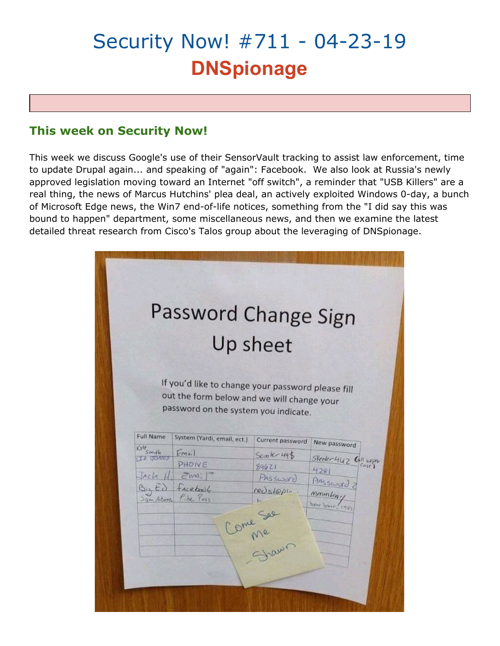# Security Now! #711 - 04-23-19 **DNSpionage**

# **This week on Security Now!**

This week we discuss Google's use of their SensorVault tracking to assist law enforcement, time to update Drupal again... and speaking of "again": Facebook. We also look at Russia's newly approved legislation moving toward an Internet "off switch", a reminder that "USB Killers" are a real thing, the news of Marcus Hutchins' plea deal, an actively exploited Windows 0-day, a bunch of Microsoft Edge news, the Win7 end-of-life notices, something from the "I did say this was bound to happen" department, some miscellaneous news, and then we examine the latest detailed threat research from Cisco's Talos group about the leveraging of DNSpionage.

|                       | Password Change Sign                              | Up sheet             |                       |
|-----------------------|---------------------------------------------------|----------------------|-----------------------|
|                       |                                                   |                      |                       |
|                       | If you'd like to change your password please fill |                      |                       |
|                       | out the form below and we will change your        |                      |                       |
|                       | password on the system you indicate.              |                      |                       |
| Full Name             | System (Yardi, email, ect.)                       | Current password     |                       |
| Kyle <sub>Smith</sub> | Email                                             | Scoh 495             | New password          |
| IZ JONES              | PHOIVE                                            | 89621                | Skeeter 442 Call upon |
| Jack H                | Emi                                               | Password             | 4281                  |
|                       | Facebook                                          | $reds1001-$          | Password              |
| $B_4E_0$              | Pike Pass                                         |                      | mmm<br>beer lover 198 |
| Sam Acams             |                                                   |                      |                       |
|                       |                                                   |                      |                       |
|                       |                                                   | Come See<br>Come See |                       |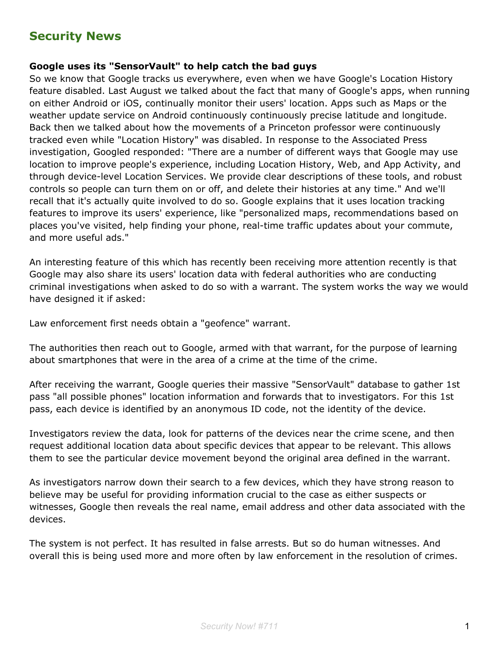# **Security News**

#### **Google uses its "SensorVault" to help catch the bad guys**

So we know that Google tracks us everywhere, even when we have Google's Location History feature disabled. Last August we talked about the fact that many of Google's apps, when running on either Android or iOS, continually monitor their users' location. Apps such as Maps or the weather update service on Android continuously continuously precise latitude and longitude. Back then we talked about how the movements of a Princeton professor were continuously tracked even while "Location History" was disabled. In response to the Associated Press investigation, Googled responded: "There are a number of different ways that Google may use location to improve people's experience, including Location History, Web, and App Activity, and through device-level Location Services. We provide clear descriptions of these tools, and robust controls so people can turn them on or off, and delete their histories at any time." And we'll recall that it's actually quite involved to do so. Google explains that it uses location tracking features to improve its users' experience, like "personalized maps, recommendations based on places you've visited, help finding your phone, real-time traffic updates about your commute, and more useful ads."

An interesting feature of this which has recently been receiving more attention recently is that Google may also share its users' location data with federal authorities who are conducting criminal investigations when asked to do so with a warrant. The system works the way we would have designed it if asked:

Law enforcement first needs obtain a "geofence" warrant.

The authorities then reach out to Google, armed with that warrant, for the purpose of learning about smartphones that were in the area of a crime at the time of the crime.

After receiving the warrant, Google queries their massive "SensorVault" database to gather 1st pass "all possible phones" location information and forwards that to investigators. For this 1st pass, each device is identified by an anonymous ID code, not the identity of the device.

Investigators review the data, look for patterns of the devices near the crime scene, and then request additional location data about specific devices that appear to be relevant. This allows them to see the particular device movement beyond the original area defined in the warrant.

As investigators narrow down their search to a few devices, which they have strong reason to believe may be useful for providing information crucial to the case as either suspects or witnesses, Google then reveals the real name, email address and other data associated with the devices.

The system is not perfect. It has resulted in false arrests. But so do human witnesses. And overall this is being used more and more often by law enforcement in the resolution of crimes.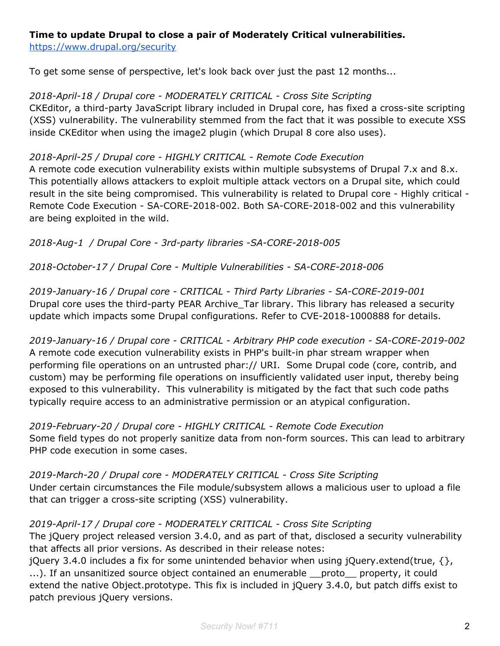## **Time to update Drupal to close a pair of Moderately Critical vulnerabilities.**

<https://www.drupal.org/security>

To get some sense of perspective, let's look back over just the past 12 months...

*2018-April-18 / Drupal core - MODERATELY CRITICAL - Cross Site Scripting* CKEditor, a third-party JavaScript library included in Drupal core, has fixed a cross-site scripting (XSS) vulnerability. The vulnerability stemmed from the fact that it was possible to execute XSS inside CKEditor when using the image2 plugin (which Drupal 8 core also uses).

## *2018-April-25 / Drupal core - HIGHLY CRITICAL - Remote Code Execution*

A remote code execution vulnerability exists within multiple subsystems of Drupal 7.x and 8.x. This potentially allows attackers to exploit multiple attack vectors on a Drupal site, which could result in the site being compromised. This vulnerability is related to Drupal core - Highly critical - Remote Code Execution - SA-CORE-2018-002. Both SA-CORE-2018-002 and this vulnerability are being exploited in the wild.

*2018-Aug-1 / Drupal Core - 3rd-party libraries -SA-CORE-2018-005*

*2018-October-17 / Drupal Core - Multiple Vulnerabilities - SA-CORE-2018-006*

*2019-January-16 / Drupal core - CRITICAL - Third Party Libraries - SA-CORE-2019-001* Drupal core uses the third-party PEAR Archive\_Tar library. This library has released a security update which impacts some Drupal configurations. Refer to CVE-2018-1000888 for details.

*2019-January-16 / Drupal core - CRITICAL - Arbitrary PHP code execution - SA-CORE-2019-002* A remote code execution vulnerability exists in PHP's built-in phar stream wrapper when performing file operations on an untrusted phar:// URI. Some Drupal code (core, contrib, and custom) may be performing file operations on insufficiently validated user input, thereby being exposed to this vulnerability. This vulnerability is mitigated by the fact that such code paths typically require access to an administrative permission or an atypical configuration.

*2019-February-20 / Drupal core - HIGHLY CRITICAL - Remote Code Execution* Some field types do not properly sanitize data from non-form sources. This can lead to arbitrary PHP code execution in some cases.

*2019-March-20 / Drupal core - MODERATELY CRITICAL - Cross Site Scripting* Under certain circumstances the File module/subsystem allows a malicious user to upload a file that can trigger a cross-site scripting (XSS) vulnerability.

*2019-April-17 / Drupal core - MODERATELY CRITICAL - Cross Site Scripting* The jQuery project released version 3.4.0, and as part of that, disclosed a security vulnerability that affects all prior versions. As described in their release notes:

jQuery 3.4.0 includes a fix for some unintended behavior when using jQuery.extend(true,  $\{\}$ , ...). If an unsanitized source object contained an enumerable \_\_proto\_\_ property, it could extend the native Object.prototype. This fix is included in jQuery 3.4.0, but patch diffs exist to patch previous jQuery versions.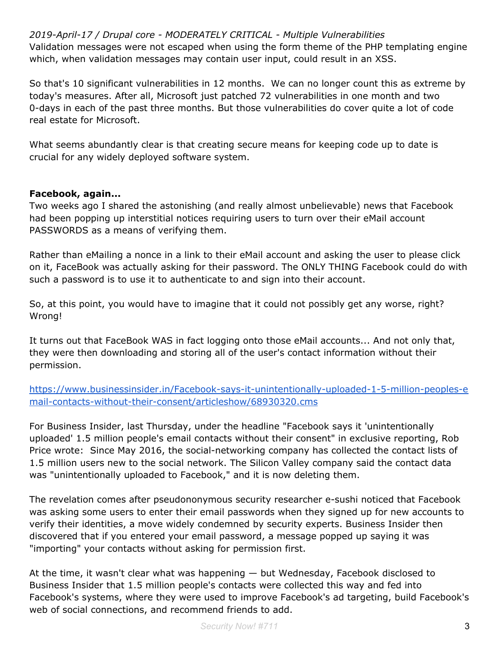*2019-April-17 / Drupal core - MODERATELY CRITICAL - Multiple Vulnerabilities* Validation messages were not escaped when using the form theme of the PHP templating engine which, when validation messages may contain user input, could result in an XSS.

So that's 10 significant vulnerabilities in 12 months. We can no longer count this as extreme by today's measures. After all, Microsoft just patched 72 vulnerabilities in one month and two 0-days in each of the past three months. But those vulnerabilities do cover quite a lot of code real estate for Microsoft.

What seems abundantly clear is that creating secure means for keeping code up to date is crucial for any widely deployed software system.

### **Facebook, again...**

Two weeks ago I shared the astonishing (and really almost unbelievable) news that Facebook had been popping up interstitial notices requiring users to turn over their eMail account PASSWORDS as a means of verifying them.

Rather than eMailing a nonce in a link to their eMail account and asking the user to please click on it, FaceBook was actually asking for their password. The ONLY THING Facebook could do with such a password is to use it to authenticate to and sign into their account.

So, at this point, you would have to imagine that it could not possibly get any worse, right? Wrong!

It turns out that FaceBook WAS in fact logging onto those eMail accounts... And not only that, they were then downloading and storing all of the user's contact information without their permission.

[https://www.businessinsider.in/Facebook-says-it-unintentionally-uploaded-1-5-million-peoples-e](https://www.businessinsider.in/Facebook-says-it-unintentionally-uploaded-1-5-million-peoples-email-contacts-without-their-consent/articleshow/68930320.cms) [mail-contacts-without-their-consent/articleshow/68930320.cms](https://www.businessinsider.in/Facebook-says-it-unintentionally-uploaded-1-5-million-peoples-email-contacts-without-their-consent/articleshow/68930320.cms)

For Business Insider, last Thursday, under the headline "Facebook says it 'unintentionally uploaded' 1.5 million people's email contacts without their consent" in exclusive reporting, Rob Price wrote: Since May 2016, the social-networking company has collected the contact lists of 1.5 million users new to the social network. The Silicon Valley company said the contact data was "unintentionally uploaded to Facebook," and it is now deleting them.

The revelation comes after pseudononymous security researcher e-sushi noticed that Facebook was asking some users to enter their email passwords when they signed up for new accounts to verify their identities, a move widely condemned by security experts. Business Insider then discovered that if you entered your email password, a message popped up saying it was "importing" your contacts without asking for permission first.

At the time, it wasn't clear what was happening — but Wednesday, Facebook disclosed to Business Insider that 1.5 million people's contacts were collected this way and fed into Facebook's systems, where they were used to improve Facebook's ad targeting, build Facebook's web of social connections, and recommend friends to add.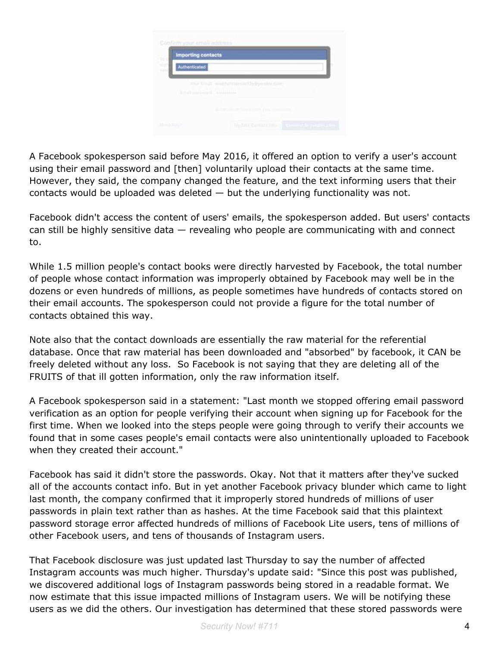| <b>Importing contacts</b> |                                           |
|---------------------------|-------------------------------------------|
| Ě<br>Authenticated        |                                           |
| <b>Free Fred)</b>         | weathernforcem Dedromake fore             |
| <b>Consult week know</b>  | <b>STATISTICS</b>                         |
|                           | and the control of the company control of |

A Facebook spokesperson said before May 2016, it offered an option to verify a user's account using their email password and [then] voluntarily upload their contacts at the same time. However, they said, the company changed the feature, and the text informing users that their contacts would be uploaded was deleted — but the underlying functionality was not.

Facebook didn't access the content of users' emails, the spokesperson added. But users' contacts can still be highly sensitive data — revealing who people are communicating with and connect to.

While 1.5 million people's contact books were directly harvested by Facebook, the total number of people whose contact information was improperly obtained by Facebook may well be in the dozens or even hundreds of millions, as people sometimes have hundreds of contacts stored on their email accounts. The spokesperson could not provide a figure for the total number of contacts obtained this way.

Note also that the contact downloads are essentially the raw material for the referential database. Once that raw material has been downloaded and "absorbed" by facebook, it CAN be freely deleted without any loss. So Facebook is not saying that they are deleting all of the FRUITS of that ill gotten information, only the raw information itself.

A Facebook spokesperson said in a statement: "Last month we stopped offering email password verification as an option for people verifying their account when signing up for Facebook for the first time. When we looked into the steps people were going through to verify their accounts we found that in some cases people's email contacts were also unintentionally uploaded to Facebook when they created their account."

Facebook has said it didn't store the passwords. Okay. Not that it matters after they've sucked all of the accounts contact info. But in yet another Facebook privacy blunder which came to light last month, the company confirmed that it improperly stored hundreds of millions of user passwords in plain text rather than as hashes. At the time Facebook said that this plaintext password storage error affected hundreds of millions of Facebook Lite users, tens of millions of other Facebook users, and tens of thousands of Instagram users.

That Facebook disclosure was just updated last Thursday to say the number of affected Instagram accounts was much higher. Thursday's update said: "Since this post was published, we discovered additional logs of Instagram passwords being stored in a readable format. We now estimate that this issue impacted millions of Instagram users. We will be notifying these users as we did the others. Our investigation has determined that these stored passwords were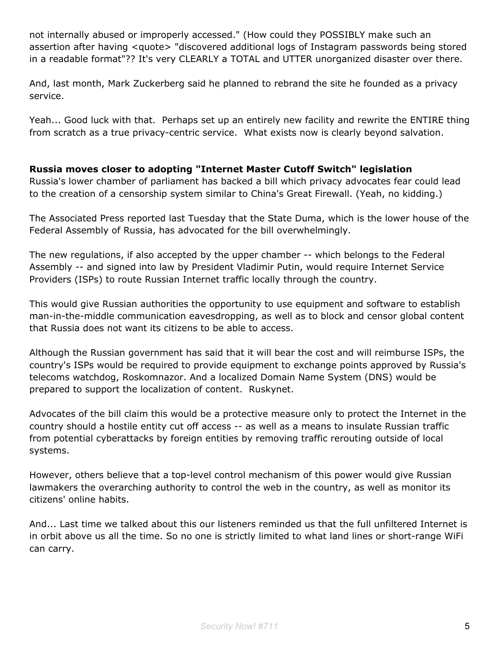not internally abused or improperly accessed." (How could they POSSIBLY make such an assertion after having <quote> "discovered additional logs of Instagram passwords being stored in a readable format"?? It's very CLEARLY a TOTAL and UTTER unorganized disaster over there.

And, last month, Mark Zuckerberg said he planned to rebrand the site he founded as a privacy service.

Yeah... Good luck with that. Perhaps set up an entirely new facility and rewrite the ENTIRE thing from scratch as a true privacy-centric service. What exists now is clearly beyond salvation.

## **Russia moves closer to adopting "Internet Master Cutoff Switch" legislation**

Russia's lower chamber of parliament has backed a bill which privacy advocates fear could lead to the creation of a censorship system similar to China's Great Firewall. (Yeah, no kidding.)

The Associated Press reported last Tuesday that the State Duma, which is the lower house of the Federal Assembly of Russia, has advocated for the bill overwhelmingly.

The new regulations, if also accepted by the upper chamber -- which belongs to the Federal Assembly -- and signed into law by President Vladimir Putin, would require Internet Service Providers (ISPs) to route Russian Internet traffic locally through the country.

This would give Russian authorities the opportunity to use equipment and software to establish man-in-the-middle communication eavesdropping, as well as to block and censor global content that Russia does not want its citizens to be able to access.

Although the Russian government has said that it will bear the cost and will reimburse ISPs, the country's ISPs would be required to provide equipment to exchange points approved by Russia's telecoms watchdog, Roskomnazor. And a localized Domain Name System (DNS) would be prepared to support the localization of content. Ruskynet.

Advocates of the bill claim this would be a protective measure only to protect the Internet in the country should a hostile entity cut off access -- as well as a means to insulate Russian traffic from potential cyberattacks by foreign entities by removing traffic rerouting outside of local systems.

However, others believe that a top-level control mechanism of this power would give Russian lawmakers the overarching authority to control the web in the country, as well as monitor its citizens' online habits.

And... Last time we talked about this our listeners reminded us that the full unfiltered Internet is in orbit above us all the time. So no one is strictly limited to what land lines or short-range WiFi can carry.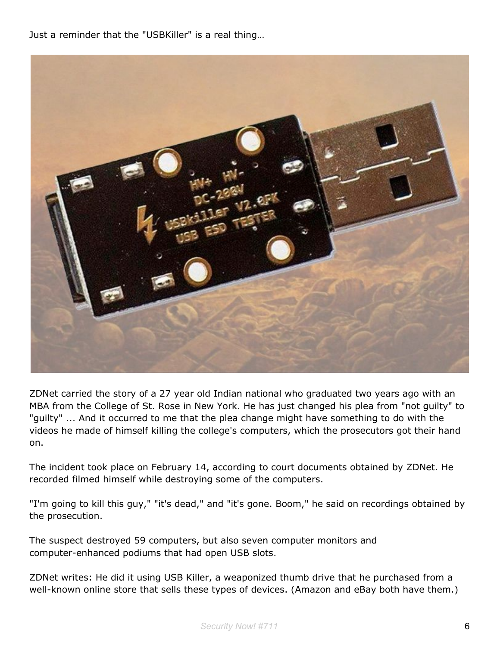Just a reminder that the "USBKiller" is a real thing…



ZDNet carried the story of a 27 year old Indian national who graduated two years ago with an MBA from the College of St. Rose in New York. He has just changed his plea from "not guilty" to "guilty" ... And it occurred to me that the plea change might have something to do with the videos he made of himself killing the college's computers, which the prosecutors got their hand on.

The incident took place on February 14, according to court documents obtained by ZDNet. He recorded filmed himself while destroying some of the computers.

"I'm going to kill this guy," "it's dead," and "it's gone. Boom," he said on recordings obtained by the prosecution.

The suspect destroyed 59 computers, but also seven computer monitors and computer-enhanced podiums that had open USB slots.

ZDNet writes: He did it using USB Killer, a weaponized thumb drive that he purchased from a well-known online store that sells these types of devices. (Amazon and eBay both have them.)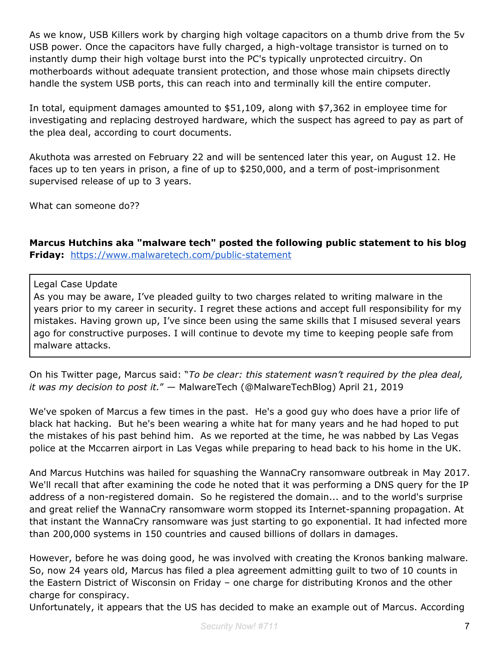As we know, USB Killers work by charging high voltage capacitors on a thumb drive from the 5v USB power. Once the capacitors have fully charged, a high-voltage transistor is turned on to instantly dump their high voltage burst into the PC's typically unprotected circuitry. On motherboards without adequate transient protection, and those whose main chipsets directly handle the system USB ports, this can reach into and terminally kill the entire computer.

In total, equipment damages amounted to \$51,109, along with \$7,362 in employee time for investigating and replacing destroyed hardware, which the suspect has agreed to pay as part of the plea deal, according to court documents.

Akuthota was arrested on February 22 and will be sentenced later this year, on August 12. He faces up to ten years in prison, a fine of up to \$250,000, and a term of post-imprisonment supervised release of up to 3 years.

What can someone do??

**Marcus Hutchins aka "malware tech" posted the following public statement to his blog Friday:** <https://www.malwaretech.com/public-statement>

### Legal Case Update

As you may be aware, I've pleaded guilty to two charges related to writing malware in the years prior to my career in security. I regret these actions and accept full responsibility for my mistakes. Having grown up, I've since been using the same skills that I misused several years ago for constructive purposes. I will continue to devote my time to keeping people safe from malware attacks.

On his Twitter page, Marcus said: "*To be clear: this statement wasn't required by the plea deal, it was my decision to post it.*" — MalwareTech (@MalwareTechBlog) April 21, 2019

We've spoken of Marcus a few times in the past. He's a good guy who does have a prior life of black hat hacking. But he's been wearing a white hat for many years and he had hoped to put the mistakes of his past behind him. As we reported at the time, he was nabbed by Las Vegas police at the Mccarren airport in Las Vegas while preparing to head back to his home in the UK.

And Marcus Hutchins was hailed for squashing the WannaCry ransomware outbreak in May 2017. We'll recall that after examining the code he noted that it was performing a DNS query for the IP address of a non-registered domain. So he registered the domain... and to the world's surprise and great relief the WannaCry ransomware worm stopped its Internet-spanning propagation. At that instant the WannaCry ransomware was just starting to go exponential. It had infected more than 200,000 systems in 150 countries and caused billions of dollars in damages.

However, before he was doing good, he was involved with creating the Kronos banking malware. So, now 24 years old, Marcus has filed a plea agreement admitting guilt to two of 10 counts in the Eastern District of Wisconsin on Friday – one charge for distributing Kronos and the other charge for conspiracy.

Unfortunately, it appears that the US has decided to make an example out of Marcus. According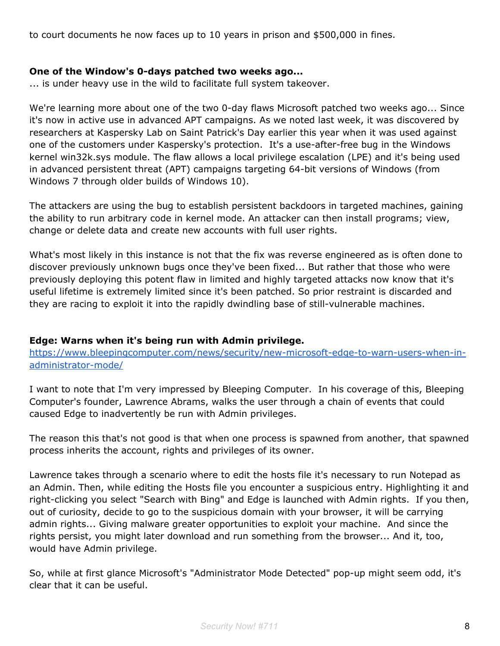to court documents he now faces up to 10 years in prison and \$500,000 in fines.

#### **One of the Window's 0-days patched two weeks ago...**

... is under heavy use in the wild to facilitate full system takeover.

We're learning more about one of the two 0-day flaws Microsoft patched two weeks ago... Since it's now in active use in advanced APT campaigns. As we noted last week, it was discovered by researchers at Kaspersky Lab on Saint Patrick's Day earlier this year when it was used against one of the customers under Kaspersky's protection. It's a use-after-free bug in the Windows kernel win32k.sys module. The flaw allows a local privilege escalation (LPE) and it's being used in advanced persistent threat (APT) campaigns targeting 64-bit versions of Windows (from Windows 7 through older builds of Windows 10).

The attackers are using the bug to establish persistent backdoors in targeted machines, gaining the ability to run arbitrary code in kernel mode. An attacker can then install programs; view, change or delete data and create new accounts with full user rights.

What's most likely in this instance is not that the fix was reverse engineered as is often done to discover previously unknown bugs once they've been fixed... But rather that those who were previously deploying this potent flaw in limited and highly targeted attacks now know that it's useful lifetime is extremely limited since it's been patched. So prior restraint is discarded and they are racing to exploit it into the rapidly dwindling base of still-vulnerable machines.

### **Edge: Warns when it's being run with Admin privilege.**

[https://www.bleepingcomputer.com/news/security/new-microsoft-edge-to-warn-users-when-in](https://www.bleepingcomputer.com/news/security/new-microsoft-edge-to-warn-users-when-in-administrator-mode/)[administrator-mode/](https://www.bleepingcomputer.com/news/security/new-microsoft-edge-to-warn-users-when-in-administrator-mode/)

I want to note that I'm very impressed by Bleeping Computer. In his coverage of this, Bleeping Computer's founder, Lawrence Abrams, walks the user through a chain of events that could caused Edge to inadvertently be run with Admin privileges.

The reason this that's not good is that when one process is spawned from another, that spawned process inherits the account, rights and privileges of its owner.

Lawrence takes through a scenario where to edit the hosts file it's necessary to run Notepad as an Admin. Then, while editing the Hosts file you encounter a suspicious entry. Highlighting it and right-clicking you select "Search with Bing" and Edge is launched with Admin rights. If you then, out of curiosity, decide to go to the suspicious domain with your browser, it will be carrying admin rights... Giving malware greater opportunities to exploit your machine. And since the rights persist, you might later download and run something from the browser... And it, too, would have Admin privilege.

So, while at first glance Microsoft's "Administrator Mode Detected" pop-up might seem odd, it's clear that it can be useful.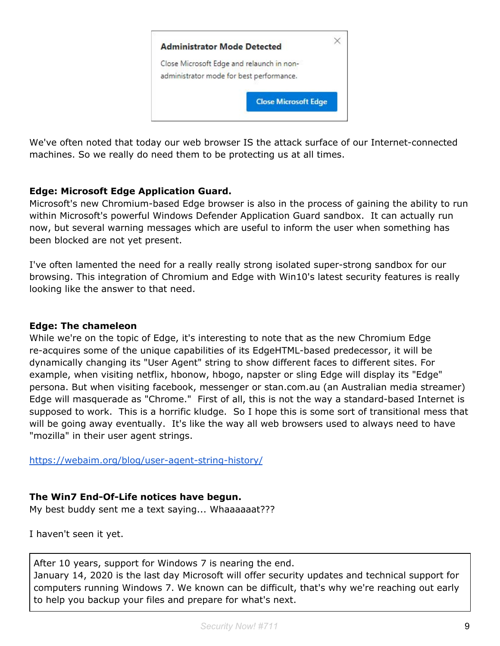

We've often noted that today our web browser IS the attack surface of our Internet-connected machines. So we really do need them to be protecting us at all times.

# **Edge: Microsoft Edge Application Guard.**

Microsoft's new Chromium-based Edge browser is also in the process of gaining the ability to run within Microsoft's powerful Windows Defender Application Guard sandbox. It can actually run now, but several warning messages which are useful to inform the user when something has been blocked are not yet present.

I've often lamented the need for a really really strong isolated super-strong sandbox for our browsing. This integration of Chromium and Edge with Win10's latest security features is really looking like the answer to that need.

## **Edge: The chameleon**

While we're on the topic of Edge, it's interesting to note that as the new Chromium Edge re-acquires some of the unique capabilities of its EdgeHTML-based predecessor, it will be dynamically changing its "User Agent" string to show different faces to different sites. For example, when visiting netflix, hbonow, hbogo, napster or sling Edge will display its "Edge" persona. But when visiting facebook, messenger or stan.com.au (an Australian media streamer) Edge will masquerade as "Chrome." First of all, this is not the way a standard-based Internet is supposed to work. This is a horrific kludge. So I hope this is some sort of transitional mess that will be going away eventually. It's like the way all web browsers used to always need to have "mozilla" in their user agent strings.

<https://webaim.org/blog/user-agent-string-history/>

# **The Win7 End-Of-Life notices have begun.**

My best buddy sent me a text saying... Whaaaaaat???

I haven't seen it yet.

After 10 years, support for Windows 7 is nearing the end. January 14, 2020 is the last day Microsoft will offer security updates and technical support for computers running Windows 7. We known can be difficult, that's why we're reaching out early to help you backup your files and prepare for what's next.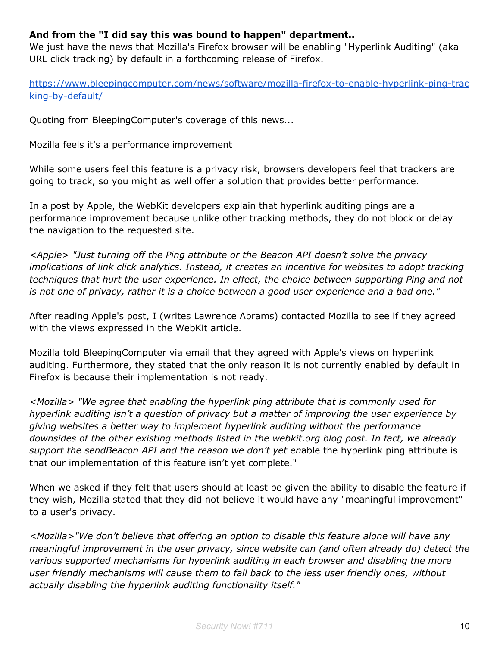# **And from the "I did say this was bound to happen" department..**

We just have the news that Mozilla's Firefox browser will be enabling "Hyperlink Auditing" (aka URL click tracking) by default in a forthcoming release of Firefox.

[https://www.bleepingcomputer.com/news/software/mozilla-firefox-to-enable-hyperlink-ping-trac](https://www.bleepingcomputer.com/news/software/mozilla-firefox-to-enable-hyperlink-ping-tracking-by-default/) [king-by-default/](https://www.bleepingcomputer.com/news/software/mozilla-firefox-to-enable-hyperlink-ping-tracking-by-default/)

Quoting from BleepingComputer's coverage of this news...

Mozilla feels it's a performance improvement

While some users feel this feature is a privacy risk, browsers developers feel that trackers are going to track, so you might as well offer a solution that provides better performance.

In a post by Apple, the WebKit developers explain that hyperlink auditing pings are a performance improvement because unlike other tracking methods, they do not block or delay the navigation to the requested site.

*<Apple> "Just turning off the Ping attribute or the Beacon API doesn't solve the privacy implications of link click analytics. Instead, it creates an incentive for websites to adopt tracking techniques that hurt the user experience. In effect, the choice between supporting Ping and not is not one of privacy, rather it is a choice between a good user experience and a bad one."*

After reading Apple's post, I (writes Lawrence Abrams) contacted Mozilla to see if they agreed with the views expressed in the WebKit article.

Mozilla told BleepingComputer via email that they agreed with Apple's views on hyperlink auditing. Furthermore, they stated that the only reason it is not currently enabled by default in Firefox is because their implementation is not ready.

*<Mozilla> "We agree that enabling the hyperlink ping attribute that is commonly used for hyperlink auditing isn't a question of privacy but a matter of improving the user experience by giving websites a better way to implement hyperlink auditing without the performance downsides of the other existing methods listed in the webkit.org blog post. In fact, we already support the sendBeacon API and the reason we don't yet en*able the hyperlink ping attribute is that our implementation of this feature isn't yet complete."

When we asked if they felt that users should at least be given the ability to disable the feature if they wish, Mozilla stated that they did not believe it would have any "meaningful improvement" to a user's privacy.

*<Mozilla>"We don't believe that offering an option to disable this feature alone will have any meaningful improvement in the user privacy, since website can (and often already do) detect the various supported mechanisms for hyperlink auditing in each browser and disabling the more user friendly mechanisms will cause them to fall back to the less user friendly ones, without actually disabling the hyperlink auditing functionality itself."*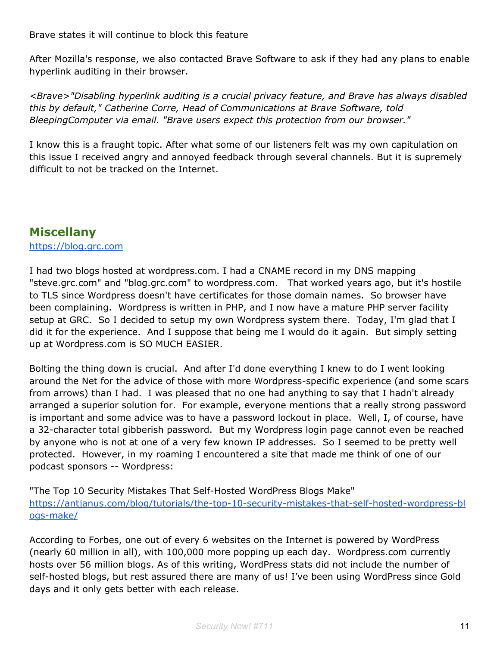Brave states it will continue to block this feature

After Mozilla's response, we also contacted Brave Software to ask if they had any plans to enable hyperlink auditing in their browser.

*<Brave>"Disabling hyperlink auditing is a crucial privacy feature, and Brave has always disabled this by default," Catherine Corre, Head of Communications at Brave Software, told BleepingComputer via email. "Brave users expect this protection from our browser."*

I know this is a fraught topic. After what some of our listeners felt was my own capitulation on this issue I received angry and annoyed feedback through several channels. But it is supremely difficult to not be tracked on the Internet.

# **Miscellany**

## [https://blog.grc.com](https://blog.grc.com/)

I had two blogs hosted at wordpress.com. I had a CNAME record in my DNS mapping "steve.grc.com" and "blog.grc.com" to wordpress.com. That worked years ago, but it's hostile to TLS since Wordpress doesn't have certificates for those domain names. So browser have been complaining. Wordpress is written in PHP, and I now have a mature PHP server facility setup at GRC. So I decided to setup my own Wordpress system there. Today, I'm glad that I did it for the experience. And I suppose that being me I would do it again. But simply setting up at Wordpress.com is SO MUCH EASIER.

Bolting the thing down is crucial. And after I'd done everything I knew to do I went looking around the Net for the advice of those with more Wordpress-specific experience (and some scars from arrows) than I had. I was pleased that no one had anything to say that I hadn't already arranged a superior solution for. For example, everyone mentions that a really strong password is important and some advice was to have a password lockout in place. Well, I, of course, have a 32-character total gibberish password. But my Wordpress login page cannot even be reached by anyone who is not at one of a very few known IP addresses. So I seemed to be pretty well protected. However, in my roaming I encountered a site that made me think of one of our podcast sponsors -- Wordpress:

"The Top 10 Security Mistakes That Self-Hosted WordPress Blogs Make" [https://antjanus.com/blog/tutorials/the-top-10-security-mistakes-that-self-hosted-wordpress-bl](https://antjanus.com/blog/tutorials/the-top-10-security-mistakes-that-self-hosted-wordpress-blogs-make/) [ogs-make/](https://antjanus.com/blog/tutorials/the-top-10-security-mistakes-that-self-hosted-wordpress-blogs-make/)

According to Forbes, one out of every 6 websites on the Internet is powered by WordPress (nearly 60 million in all), with 100,000 more popping up each day. Wordpress.com currently hosts over 56 million blogs. As of this writing, WordPress stats did not include the number of self-hosted blogs, but rest assured there are many of us! I've been using WordPress since Gold days and it only gets better with each release.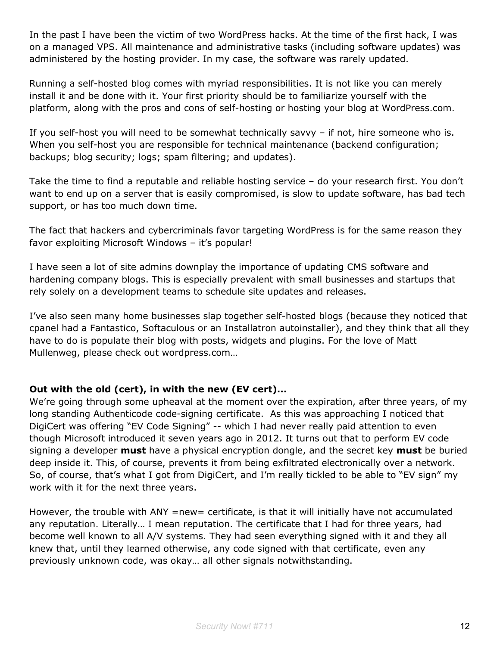In the past I have been the victim of two WordPress hacks. At the time of the first hack, I was on a managed VPS. All maintenance and administrative tasks (including software updates) was administered by the hosting provider. In my case, the software was rarely updated.

Running a self-hosted blog comes with myriad responsibilities. It is not like you can merely install it and be done with it. Your first priority should be to familiarize yourself with the platform, along with the pros and cons of self-hosting or hosting your blog at WordPress.com.

If you self-host you will need to be somewhat technically savvy – if not, hire someone who is. When you self-host you are responsible for technical maintenance (backend configuration; backups; blog security; logs; spam filtering; and updates).

Take the time to find a reputable and reliable hosting service – do your research first. You don't want to end up on a server that is easily compromised, is slow to update software, has bad tech support, or has too much down time.

The fact that hackers and cybercriminals favor targeting WordPress is for the same reason they favor exploiting Microsoft Windows – it's popular!

I have seen a lot of site admins downplay the importance of updating CMS software and hardening company blogs. This is especially prevalent with small businesses and startups that rely solely on a development teams to schedule site updates and releases.

I've also seen many home businesses slap together self-hosted blogs (because they noticed that cpanel had a Fantastico, Softaculous or an Installatron autoinstaller), and they think that all they have to do is populate their blog with posts, widgets and plugins. For the love of Matt Mullenweg, please check out wordpress.com…

# **Out with the old (cert), in with the new (EV cert)...**

We're going through some upheaval at the moment over the expiration, after three years, of my long standing Authenticode code-signing certificate. As this was approaching I noticed that DigiCert was offering "EV Code Signing" -- which I had never really paid attention to even though Microsoft introduced it seven years ago in 2012. It turns out that to perform EV code signing a developer **must** have a physical encryption dongle, and the secret key **must** be buried deep inside it. This, of course, prevents it from being exfiltrated electronically over a network. So, of course, that's what I got from DigiCert, and I'm really tickled to be able to "EV sign" my work with it for the next three years.

However, the trouble with ANY =new= certificate, is that it will initially have not accumulated any reputation. Literally… I mean reputation. The certificate that I had for three years, had become well known to all A/V systems. They had seen everything signed with it and they all knew that, until they learned otherwise, any code signed with that certificate, even any previously unknown code, was okay… all other signals notwithstanding.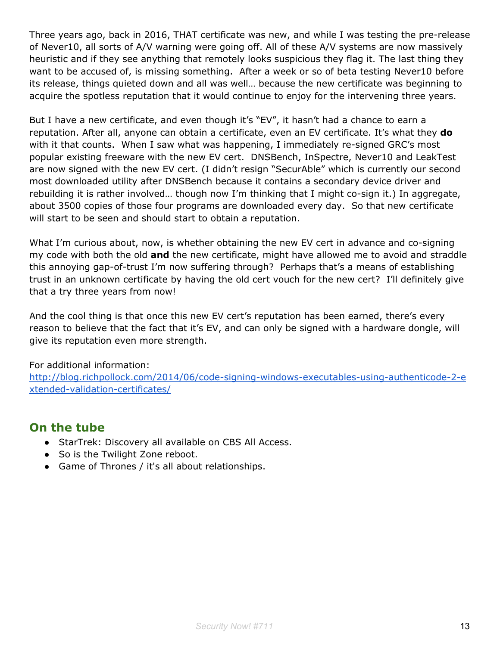Three years ago, back in 2016, THAT certificate was new, and while I was testing the pre-release of Never10, all sorts of A/V warning were going off. All of these A/V systems are now massively heuristic and if they see anything that remotely looks suspicious they flag it. The last thing they want to be accused of, is missing something. After a week or so of beta testing Never10 before its release, things quieted down and all was well… because the new certificate was beginning to acquire the spotless reputation that it would continue to enjoy for the intervening three years.

But I have a new certificate, and even though it's "EV", it hasn't had a chance to earn a reputation. After all, anyone can obtain a certificate, even an EV certificate. It's what they **do** with it that counts. When I saw what was happening, I immediately re-signed GRC's most popular existing freeware with the new EV cert. DNSBench, InSpectre, Never10 and LeakTest are now signed with the new EV cert. (I didn't resign "SecurAble" which is currently our second most downloaded utility after DNSBench because it contains a secondary device driver and rebuilding it is rather involved… though now I'm thinking that I might co-sign it.) In aggregate, about 3500 copies of those four programs are downloaded every day. So that new certificate will start to be seen and should start to obtain a reputation.

What I'm curious about, now, is whether obtaining the new EV cert in advance and co-signing my code with both the old **and** the new certificate, might have allowed me to avoid and straddle this annoying gap-of-trust I'm now suffering through? Perhaps that's a means of establishing trust in an unknown certificate by having the old cert vouch for the new cert? I'll definitely give that a try three years from now!

And the cool thing is that once this new EV cert's reputation has been earned, there's every reason to believe that the fact that it's EV, and can only be signed with a hardware dongle, will give its reputation even more strength.

For additional information:

[http://blog.richpollock.com/2014/06/code-signing-windows-executables-using-authenticode-2-e](http://blog.richpollock.com/2014/06/code-signing-windows-executables-using-authenticode-2-extended-validation-certificates/) [xtended-validation-certificates/](http://blog.richpollock.com/2014/06/code-signing-windows-executables-using-authenticode-2-extended-validation-certificates/)

# **On the tube**

- StarTrek: Discovery all available on CBS All Access.
- So is the Twilight Zone reboot.
- Game of Thrones / it's all about relationships.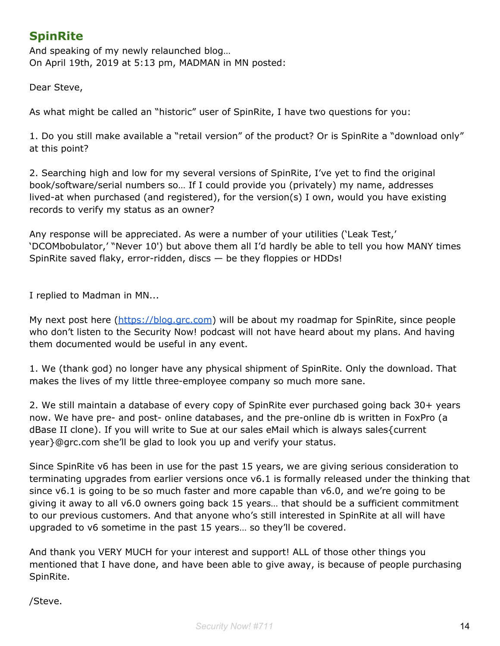# **SpinRite**

And speaking of my newly relaunched blog… On April 19th, 2019 at 5:13 pm, MADMAN in MN posted:

Dear Steve,

As what might be called an "historic" user of SpinRite, I have two questions for you:

1. Do you still make available a "retail version" of the product? Or is SpinRite a "download only" at this point?

2. Searching high and low for my several versions of SpinRite, I've yet to find the original book/software/serial numbers so… If I could provide you (privately) my name, addresses lived-at when purchased (and registered), for the version(s) I own, would you have existing records to verify my status as an owner?

Any response will be appreciated. As were a number of your utilities ('Leak Test,' 'DCOMbobulator,' "Never 10') but above them all I'd hardly be able to tell you how MANY times SpinRite saved flaky, error-ridden, discs  $-$  be they floppies or HDDs!

I replied to Madman in MN...

My next post here ([https://blog.grc.com\)](https://blog.grc.com/) will be about my roadmap for SpinRite, since people who don't listen to the Security Now! podcast will not have heard about my plans. And having them documented would be useful in any event.

1. We (thank god) no longer have any physical shipment of SpinRite. Only the download. That makes the lives of my little three-employee company so much more sane.

2. We still maintain a database of every copy of SpinRite ever purchased going back 30+ years now. We have pre- and post- online databases, and the pre-online db is written in FoxPro (a dBase II clone). If you will write to Sue at our sales eMail which is always sales{current year}@grc.com she'll be glad to look you up and verify your status.

Since SpinRite v6 has been in use for the past 15 years, we are giving serious consideration to terminating upgrades from earlier versions once v6.1 is formally released under the thinking that since v6.1 is going to be so much faster and more capable than v6.0, and we're going to be giving it away to all v6.0 owners going back 15 years… that should be a sufficient commitment to our previous customers. And that anyone who's still interested in SpinRite at all will have upgraded to v6 sometime in the past 15 years… so they'll be covered.

And thank you VERY MUCH for your interest and support! ALL of those other things you mentioned that I have done, and have been able to give away, is because of people purchasing SpinRite.

/Steve.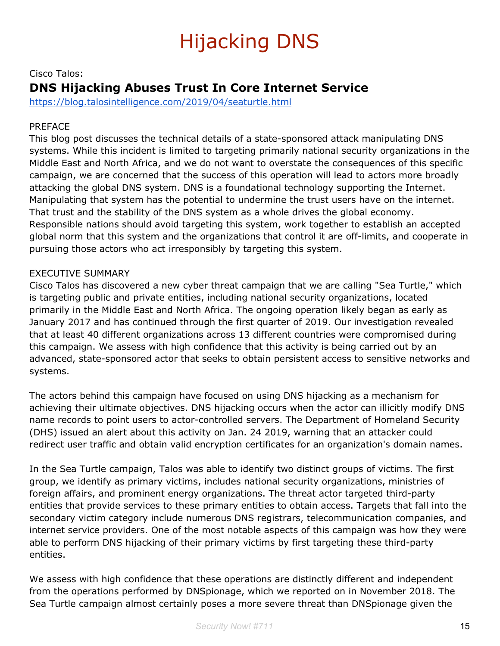# Hijacking DNS

# Cisco Talos: **DNS Hijacking Abuses Trust In Core Internet Service**

<https://blog.talosintelligence.com/2019/04/seaturtle.html>

## PREFACE

This blog post discusses the technical details of a state-sponsored attack manipulating DNS systems. While this incident is limited to targeting primarily national security organizations in the Middle East and North Africa, and we do not want to overstate the consequences of this specific campaign, we are concerned that the success of this operation will lead to actors more broadly attacking the global DNS system. DNS is a foundational technology supporting the Internet. Manipulating that system has the potential to undermine the trust users have on the internet. That trust and the stability of the DNS system as a whole drives the global economy. Responsible nations should avoid targeting this system, work together to establish an accepted global norm that this system and the organizations that control it are off-limits, and cooperate in pursuing those actors who act irresponsibly by targeting this system.

### EXECUTIVE SUMMARY

Cisco Talos has discovered a new cyber threat campaign that we are calling "Sea Turtle," which is targeting public and private entities, including national security organizations, located primarily in the Middle East and North Africa. The ongoing operation likely began as early as January 2017 and has continued through the first quarter of 2019. Our investigation revealed that at least 40 different organizations across 13 different countries were compromised during this campaign. We assess with high confidence that this activity is being carried out by an advanced, state-sponsored actor that seeks to obtain persistent access to sensitive networks and systems.

The actors behind this campaign have focused on using DNS hijacking as a mechanism for achieving their ultimate objectives. DNS hijacking occurs when the actor can illicitly modify DNS name records to point users to actor-controlled servers. The Department of Homeland Security (DHS) issued an alert about this activity on Jan. 24 2019, warning that an attacker could redirect user traffic and obtain valid encryption certificates for an organization's domain names.

In the Sea Turtle campaign, Talos was able to identify two distinct groups of victims. The first group, we identify as primary victims, includes national security organizations, ministries of foreign affairs, and prominent energy organizations. The threat actor targeted third-party entities that provide services to these primary entities to obtain access. Targets that fall into the secondary victim category include numerous DNS registrars, telecommunication companies, and internet service providers. One of the most notable aspects of this campaign was how they were able to perform DNS hijacking of their primary victims by first targeting these third-party entities.

We assess with high confidence that these operations are distinctly different and independent from the operations performed by DNSpionage, which we reported on in November 2018. The Sea Turtle campaign almost certainly poses a more severe threat than DNSpionage given the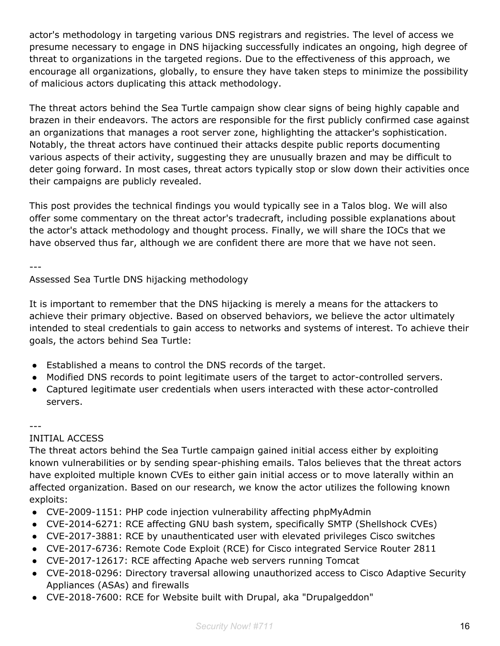actor's methodology in targeting various DNS registrars and registries. The level of access we presume necessary to engage in DNS hijacking successfully indicates an ongoing, high degree of threat to organizations in the targeted regions. Due to the effectiveness of this approach, we encourage all organizations, globally, to ensure they have taken steps to minimize the possibility of malicious actors duplicating this attack methodology.

The threat actors behind the Sea Turtle campaign show clear signs of being highly capable and brazen in their endeavors. The actors are responsible for the first publicly confirmed case against an organizations that manages a root server zone, highlighting the attacker's sophistication. Notably, the threat actors have continued their attacks despite public reports documenting various aspects of their activity, suggesting they are unusually brazen and may be difficult to deter going forward. In most cases, threat actors typically stop or slow down their activities once their campaigns are publicly revealed.

This post provides the technical findings you would typically see in a Talos blog. We will also offer some commentary on the threat actor's tradecraft, including possible explanations about the actor's attack methodology and thought process. Finally, we will share the IOCs that we have observed thus far, although we are confident there are more that we have not seen.

---

Assessed Sea Turtle DNS hijacking methodology

It is important to remember that the DNS hijacking is merely a means for the attackers to achieve their primary objective. Based on observed behaviors, we believe the actor ultimately intended to steal credentials to gain access to networks and systems of interest. To achieve their goals, the actors behind Sea Turtle:

- Established a means to control the DNS records of the target.
- Modified DNS records to point legitimate users of the target to actor-controlled servers.
- Captured legitimate user credentials when users interacted with these actor-controlled servers.

#### ---

### INITIAL ACCESS

The threat actors behind the Sea Turtle campaign gained initial access either by exploiting known vulnerabilities or by sending spear-phishing emails. Talos believes that the threat actors have exploited multiple known CVEs to either gain initial access or to move laterally within an affected organization. Based on our research, we know the actor utilizes the following known exploits:

- CVE-2009-1151: PHP code injection vulnerability affecting phpMyAdmin
- CVE-2014-6271: RCE affecting GNU bash system, specifically SMTP (Shellshock CVEs)
- CVE-2017-3881: RCE by unauthenticated user with elevated privileges Cisco switches
- CVE-2017-6736: Remote Code Exploit (RCE) for Cisco integrated Service Router 2811
- CVE-2017-12617: RCE affecting Apache web servers running Tomcat
- CVE-2018-0296: Directory traversal allowing unauthorized access to Cisco Adaptive Security Appliances (ASAs) and firewalls
- CVE-2018-7600: RCE for Website built with Drupal, aka "Drupalgeddon"